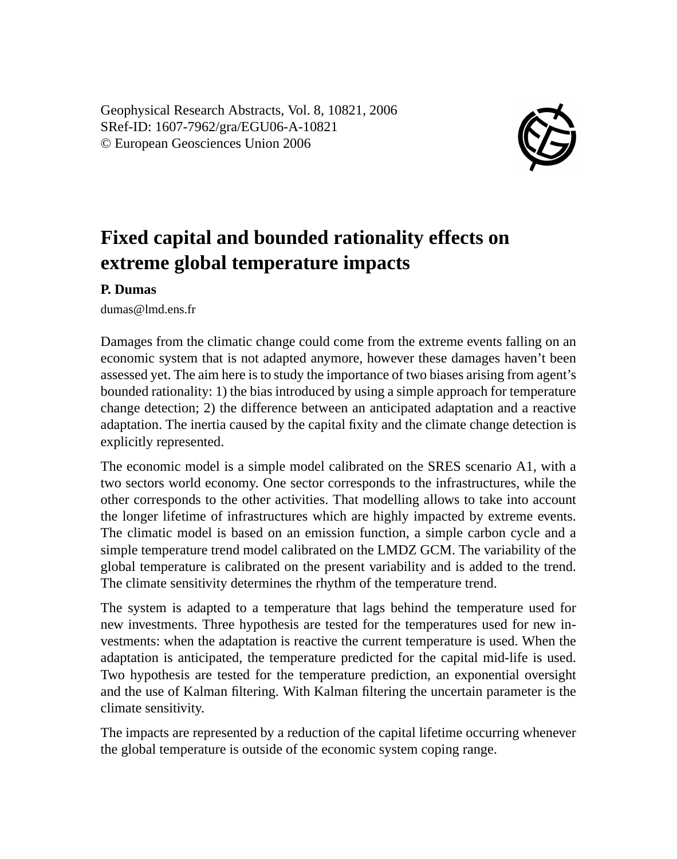Geophysical Research Abstracts, Vol. 8, 10821, 2006 SRef-ID: 1607-7962/gra/EGU06-A-10821 © European Geosciences Union 2006



## **Fixed capital and bounded rationality effects on extreme global temperature impacts**

## **P. Dumas**

dumas@lmd.ens.fr

Damages from the climatic change could come from the extreme events falling on an economic system that is not adapted anymore, however these damages haven't been assessed yet. The aim here is to study the importance of two biases arising from agent's bounded rationality: 1) the bias introduced by using a simple approach for temperature change detection; 2) the difference between an anticipated adaptation and a reactive adaptation. The inertia caused by the capital fixity and the climate change detection is explicitly represented.

The economic model is a simple model calibrated on the SRES scenario A1, with a two sectors world economy. One sector corresponds to the infrastructures, while the other corresponds to the other activities. That modelling allows to take into account the longer lifetime of infrastructures which are highly impacted by extreme events. The climatic model is based on an emission function, a simple carbon cycle and a simple temperature trend model calibrated on the LMDZ GCM. The variability of the global temperature is calibrated on the present variability and is added to the trend. The climate sensitivity determines the rhythm of the temperature trend.

The system is adapted to a temperature that lags behind the temperature used for new investments. Three hypothesis are tested for the temperatures used for new investments: when the adaptation is reactive the current temperature is used. When the adaptation is anticipated, the temperature predicted for the capital mid-life is used. Two hypothesis are tested for the temperature prediction, an exponential oversight and the use of Kalman filtering. With Kalman filtering the uncertain parameter is the climate sensitivity.

The impacts are represented by a reduction of the capital lifetime occurring whenever the global temperature is outside of the economic system coping range.